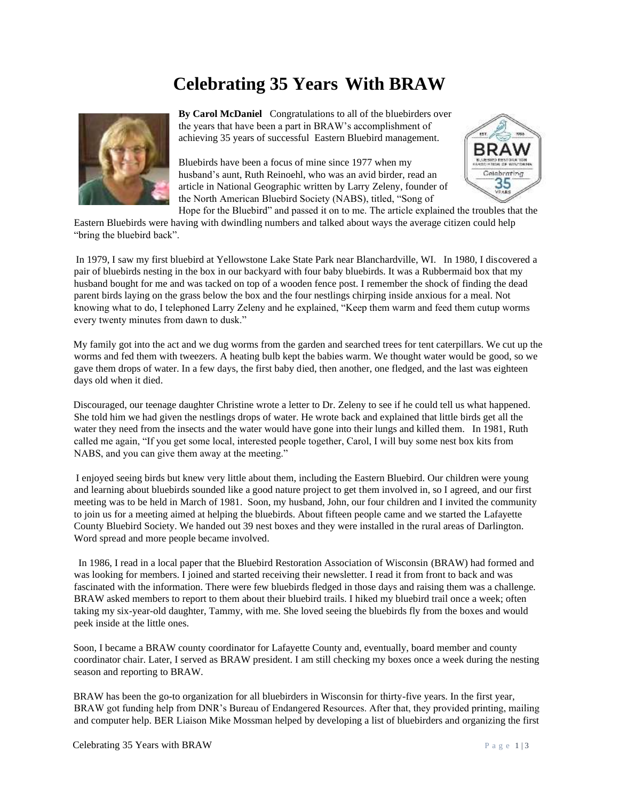## **Celebrating 35 Years With BRAW**



**By Carol McDaniel** Congratulations to all of the bluebirders over the years that have been a part in BRAW's accomplishment of achieving 35 years of successful Eastern Bluebird management.

Bluebirds have been a focus of mine since 1977 when my husband's aunt, Ruth Reinoehl, who was an avid birder, read an article in National Geographic written by Larry Zeleny, founder of the North American Bluebird Society (NABS), titled, "Song of



Hope for the Bluebird" and passed it on to me. The article explained the troubles that the Eastern Bluebirds were having with dwindling numbers and talked about ways the average citizen could help "bring the bluebird back".

In 1979, I saw my first bluebird at Yellowstone Lake State Park near Blanchardville, WI. In 1980, I discovered a pair of bluebirds nesting in the box in our backyard with four baby bluebirds. It was a Rubbermaid box that my husband bought for me and was tacked on top of a wooden fence post. I remember the shock of finding the dead parent birds laying on the grass below the box and the four nestlings chirping inside anxious for a meal. Not knowing what to do, I telephoned Larry Zeleny and he explained, "Keep them warm and feed them cutup worms every twenty minutes from dawn to dusk."

My family got into the act and we dug worms from the garden and searched trees for tent caterpillars. We cut up the worms and fed them with tweezers. A heating bulb kept the babies warm. We thought water would be good, so we gave them drops of water. In a few days, the first baby died, then another, one fledged, and the last was eighteen days old when it died.

Discouraged, our teenage daughter Christine wrote a letter to Dr. Zeleny to see if he could tell us what happened. She told him we had given the nestlings drops of water. He wrote back and explained that little birds get all the water they need from the insects and the water would have gone into their lungs and killed them. In 1981, Ruth called me again, "If you get some local, interested people together, Carol, I will buy some nest box kits from NABS, and you can give them away at the meeting."

I enjoyed seeing birds but knew very little about them, including the Eastern Bluebird. Our children were young and learning about bluebirds sounded like a good nature project to get them involved in, so I agreed, and our first meeting was to be held in March of 1981. Soon, my husband, John, our four children and I invited the community to join us for a meeting aimed at helping the bluebirds. About fifteen people came and we started the Lafayette County Bluebird Society. We handed out 39 nest boxes and they were installed in the rural areas of Darlington. Word spread and more people became involved.

 In 1986, I read in a local paper that the Bluebird Restoration Association of Wisconsin (BRAW) had formed and was looking for members. I joined and started receiving their newsletter. I read it from front to back and was fascinated with the information. There were few bluebirds fledged in those days and raising them was a challenge. BRAW asked members to report to them about their bluebird trails. I hiked my bluebird trail once a week; often taking my six-year-old daughter, Tammy, with me. She loved seeing the bluebirds fly from the boxes and would peek inside at the little ones.

Soon, I became a BRAW county coordinator for Lafayette County and, eventually, board member and county coordinator chair. Later, I served as BRAW president. I am still checking my boxes once a week during the nesting season and reporting to BRAW.

BRAW has been the go-to organization for all bluebirders in Wisconsin for thirty-five years. In the first year, BRAW got funding help from DNR's Bureau of Endangered Resources. After that, they provided printing, mailing and computer help. BER Liaison Mike Mossman helped by developing a list of bluebirders and organizing the first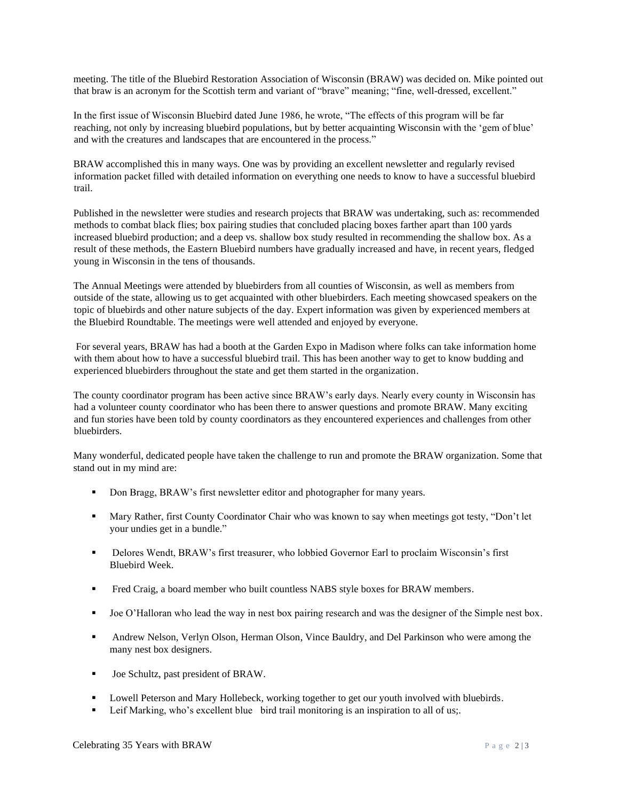meeting. The title of the Bluebird Restoration Association of Wisconsin (BRAW) was decided on. Mike pointed out that braw is an acronym for the Scottish term and variant of "brave" meaning; "fine, well-dressed, excellent."

In the first issue of Wisconsin Bluebird dated June 1986, he wrote, "The effects of this program will be far reaching, not only by increasing bluebird populations, but by better acquainting Wisconsin with the 'gem of blue' and with the creatures and landscapes that are encountered in the process."

BRAW accomplished this in many ways. One was by providing an excellent newsletter and regularly revised information packet filled with detailed information on everything one needs to know to have a successful bluebird trail.

Published in the newsletter were studies and research projects that BRAW was undertaking, such as: recommended methods to combat black flies; box pairing studies that concluded placing boxes farther apart than 100 yards increased bluebird production; and a deep vs. shallow box study resulted in recommending the shallow box. As a result of these methods, the Eastern Bluebird numbers have gradually increased and have, in recent years, fledged young in Wisconsin in the tens of thousands.

The Annual Meetings were attended by bluebirders from all counties of Wisconsin, as well as members from outside of the state, allowing us to get acquainted with other bluebirders. Each meeting showcased speakers on the topic of bluebirds and other nature subjects of the day. Expert information was given by experienced members at the Bluebird Roundtable. The meetings were well attended and enjoyed by everyone.

For several years, BRAW has had a booth at the Garden Expo in Madison where folks can take information home with them about how to have a successful bluebird trail. This has been another way to get to know budding and experienced bluebirders throughout the state and get them started in the organization.

The county coordinator program has been active since BRAW's early days. Nearly every county in Wisconsin has had a volunteer county coordinator who has been there to answer questions and promote BRAW. Many exciting and fun stories have been told by county coordinators as they encountered experiences and challenges from other bluebirders.

Many wonderful, dedicated people have taken the challenge to run and promote the BRAW organization. Some that stand out in my mind are:

- Don Bragg, BRAW's first newsletter editor and photographer for many years.
- Mary Rather, first County Coordinator Chair who was known to say when meetings got testy, "Don't let your undies get in a bundle."
- Delores Wendt, BRAW's first treasurer, who lobbied Governor Earl to proclaim Wisconsin's first Bluebird Week.
- **•** Fred Craig, a board member who built countless NABS style boxes for BRAW members.
- Joe O'Halloran who lead the way in nest box pairing research and was the designer of the Simple nest box.
- **•** Andrew Nelson, Verlyn Olson, Herman Olson, Vince Bauldry, and Del Parkinson who were among the many nest box designers.
- Joe Schultz, past president of BRAW.
- Lowell Peterson and Mary Hollebeck, working together to get our youth involved with bluebirds.
- Leif Marking, who's excellent blue bird trail monitoring is an inspiration to all of us;.